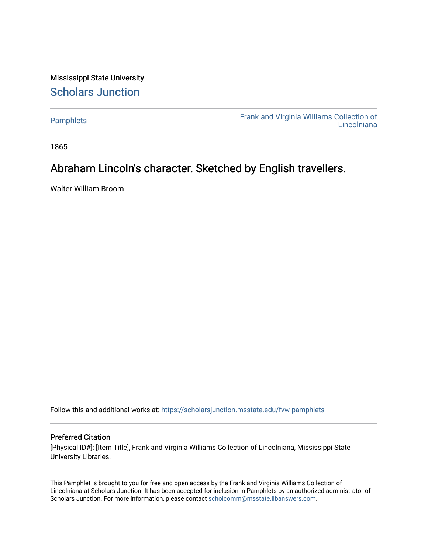Mississippi State University [Scholars Junction](https://scholarsjunction.msstate.edu/) 

[Pamphlets](https://scholarsjunction.msstate.edu/fvw-pamphlets) [Frank and Virginia Williams Collection of](https://scholarsjunction.msstate.edu/fvw)  [Lincolniana](https://scholarsjunction.msstate.edu/fvw) 

1865

### Abraham Lincoln's character. Sketched by English travellers.

Walter William Broom

Follow this and additional works at: [https://scholarsjunction.msstate.edu/fvw-pamphlets](https://scholarsjunction.msstate.edu/fvw-pamphlets?utm_source=scholarsjunction.msstate.edu%2Ffvw-pamphlets%2F366&utm_medium=PDF&utm_campaign=PDFCoverPages) 

### Preferred Citation

[Physical ID#]: [Item Title], Frank and Virginia Williams Collection of Lincolniana, Mississippi State University Libraries.

This Pamphlet is brought to you for free and open access by the Frank and Virginia Williams Collection of Lincolniana at Scholars Junction. It has been accepted for inclusion in Pamphlets by an authorized administrator of Scholars Junction. For more information, please contact [scholcomm@msstate.libanswers.com.](mailto:scholcomm@msstate.libanswers.com)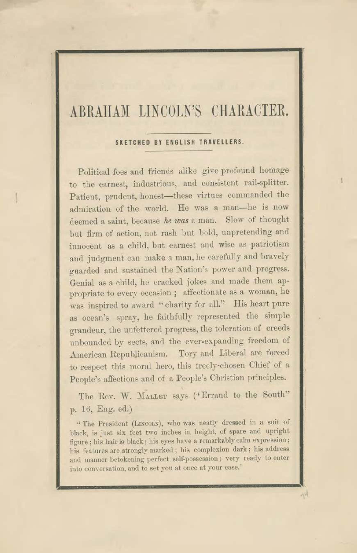## ABRAHAM LINCOLN'S CHARACTER.

#### SKETCHED BY ENGLISH TRAVELLERS.

Political foes and friends alike give profound homage to the earnest, industrious, and consistent rail-splitter. Patient, prudent, honest-these virtues commanded the admiration of the world. He was a man-he is now deemed a saint, because he was a man. Slow of thought but firm of action, not rash but bold, unpretending and innocent as a child, but earnest and wise as patriotism and judgment can make a man, he carefully and bravely guarded and sustained the Nation's power and progress. Genial as a child, he cracked jokes and made them appropriate to every occasion; affectionate as a woman, he was inspired to award "charity for all." His heart pure as ocean's spray, he faithfully represented the simple grandeur, the unfettered progress, the toleration of creeds unbounded by sects, and the ever-expanding freedom of American Republicanism. Tory and Liberal are forced to respect this moral hero, this treely-chosen Chief of a People's affections and of a People's Christian principles.

The Rev. W. MALLET says ('Errand to the South" p. 16, Eng. ed.)

"The President (LINCOLN), who was neatly dressed in a suit of black, is just six feet two inches in height, of spare and upright figure; his hair is black; his eyes have a remarkably calm expression; his features are strongly marked; his complexion dark; his address and manner betokening perfect self-possession; very ready to enter into conversation, and to set you at once at your ease."

州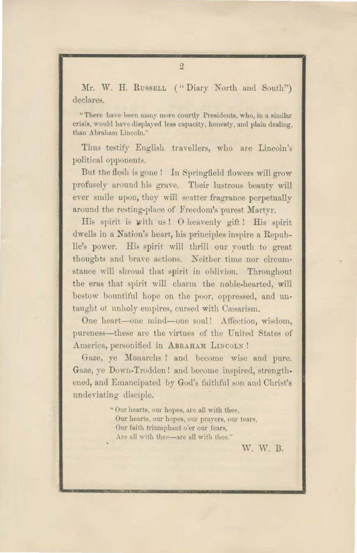Mr. W. H. RUSSELL ("Diary North and South") declares.

"There have been many more courtly Presidents, who, in a similar crisis, would have displayed less capacity, honesty, and plain dealing, than Abraham Lincoln.'

Thus testify English travellers, who are Lincoln's political opponents.

But the flesh is gone! In Springfield flowers will grow profusely around his grave. Their lustrous beauty will ever smile upon, they will scatter fragrance perpetually around the resting-place of Freedom's purest Martyr.

His spirit is with us! O heavenly gift! His spirit dwells in a Nation's heart, his principles inspire a Republie's power. His spirit will thrill our youth to great thoughts and brave actions. Neither time nor circumstance will shroud that spirit in oblivion. Throughout the eras that spirit will charm the noble-hearted, will bestow bountiful hope on the poor, oppressed, and untaught of unholy empires, cursed with Cæsarism.

One heart-one mind-one soul! Affection, wisdom, pureness—these are the virtues of the United States of America, personified in ABRAHAM LINCOLN!

Gaze, ye Monarchs ! and become wise and pure. Gaze, ye Down-Trodden! and become inspired, strengthened, and Emancipated by God's faithful son and Christ's undeviating disciple.

> "Our hearts, our hopes, are all with thee, Our hearts, our hopes, our prayers, our tears, Our faith triumphant o'er our fears, Are all with thee-are all with thee."

> > W. W. B.

 $\overline{2}$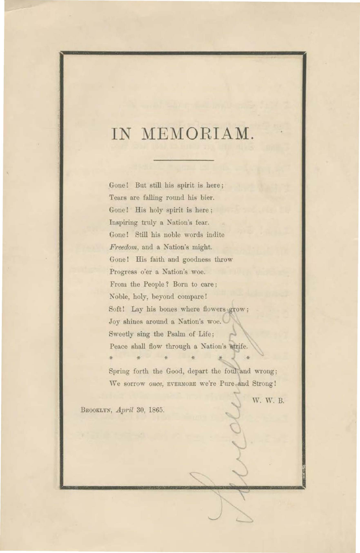# IN MEMORIAM.

Gone! But still his spirit is here; Tears are falling round his bier. Gone! His holy spirit is here; Inspiring truly a Nation's fear. Gone! Still his noble words indite Freedom, and a Nation's might. Gone! His faith and goodness throw Progress o'er a Nation's woe. From the People? Born to care; Noble, holy, beyond compare! Soft! Lay his bones where flowers grow; Joy shines around a Nation's woe. Sweetly sing the Psalm of Life; Peace shall flow through a Nation's strife.

Spring forth the Good, depart the foul and wrong; We sorrow once, EVERMORE we're Pure and Strong!

W. W. B.

BROOKLYN, April 30, 1865.